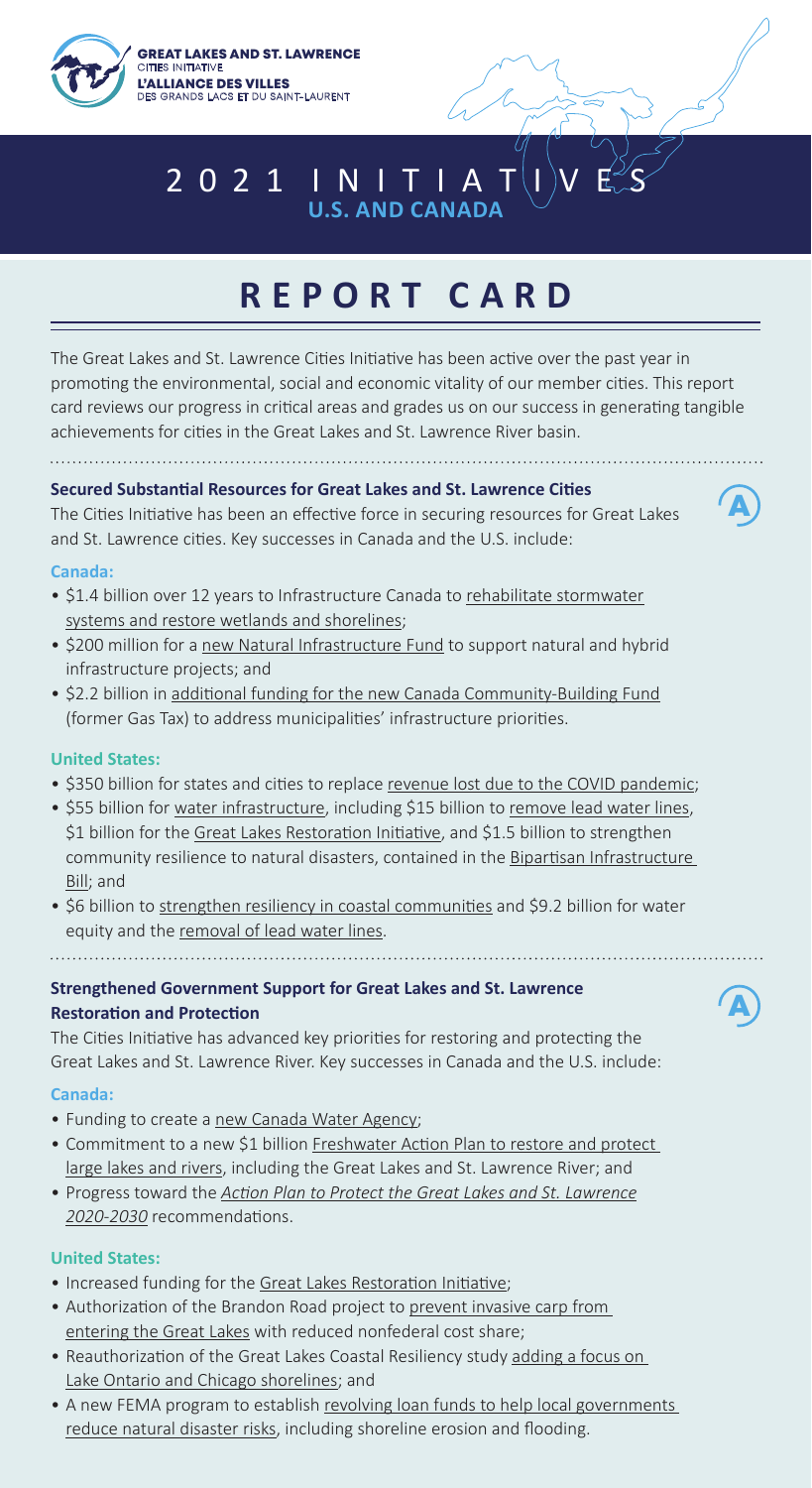

# 2 0 2 1 | N | T | A **U.S. AND CANADA**

# **REPORT CARD**

The Great Lakes and St. Lawrence Cities Initiative has been active over the past year in promoting the environmental, social and economic vitality of our member cities. This report card reviews our progress in critical areas and grades us on our success in generating tangible achievements for cities in the Great Lakes and St. Lawrence River basin.

#### **Secured Substantial Resources for Great Lakes and St. Lawrence Cities**

The Cities Initiative has been an effective force in securing resources for Great Lakes and St. Lawrence cities. Key successes in Canada and the U.S. include:

#### **Canada:**

- \$1.4 billion over 12 years to Infrastructure Canada to rehabilitate stormwater systems and restore wetlands and shorelines;
- \$200 million for a new Natural Infrastructure Fund to support natural and hybrid infrastructure projects; and
- \$2.2 billion in additional funding for the new Canada Community-Building Fund (former Gas Tax) to address municipalities' infrastructure priorities.

#### **United States:**

- \$350 billion for states and cities to replace revenue lost due to the COVID pandemic;
- \$55 billion for water infrastructure, including \$15 billion to remove lead water lines, \$1 billion for the Great Lakes Restoration Initiative, and \$1.5 billion to strengthen community resilience to natural disasters, contained in the Bipartisan Infrastructure Bill; and
- \$6 billion to strengthen resiliency in coastal communities and \$9.2 billion for water equity and the removal of lead water lines.

# **Strengthened Government Support for Great Lakes and St. Lawrence Restoration and Protection**

The Cities Initiative has advanced key priorities for restoring and protecting the Great Lakes and St. Lawrence River. Key successes in Canada and the U.S. include:

#### **Canada:**

- Funding to create a new Canada Water Agency;
- Commitment to a new \$1 billion Freshwater Action Plan to restore and protect large lakes and rivers, including the Great Lakes and St. Lawrence River; and
- Progress toward the *Action Plan to Protect the Great Lakes and St. Lawrence 2020-2030* recommendations.

#### **United States:**

- Increased funding for the Great Lakes Restoration Initiative;
- Authorization of the Brandon Road project to prevent invasive carp from entering the Great Lakes with reduced nonfederal cost share;
- Reauthorization of the Great Lakes Coastal Resiliency study adding a focus on Lake Ontario and Chicago shorelines; and
- A new FEMA program to establish revolving loan funds to help local governments reduce natural disaster risks, including shoreline erosion and flooding.